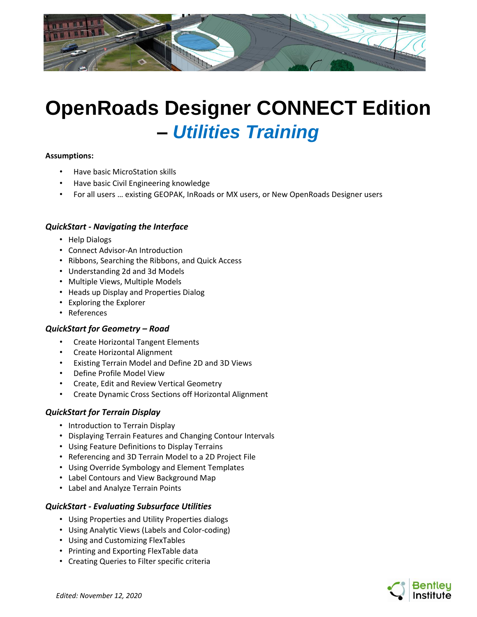

# **OpenRoads Designer CONNECT Edition –** *Utilities Training*

#### **Assumptions:**

- Have basic MicroStation skills
- Have basic Civil Engineering knowledge
- For all users … existing GEOPAK, InRoads or MX users, or New OpenRoads Designer users

## *QuickStart - Navigating the Interface*

- Help Dialogs
- Connect Advisor-An Introduction
- Ribbons, Searching the Ribbons, and Quick Access
- Understanding 2d and 3d Models
- Multiple Views, Multiple Models
- Heads up Display and Properties Dialog
- Exploring the Explorer
- References

#### *QuickStart for Geometry – Road*

- Create Horizontal Tangent Elements
- Create Horizontal Alignment
- Existing Terrain Model and Define 2D and 3D Views
- Define Profile Model View
- Create, Edit and Review Vertical Geometry
- Create Dynamic Cross Sections off Horizontal Alignment

#### *QuickStart for Terrain Display*

- Introduction to Terrain Display
- Displaying Terrain Features and Changing Contour Intervals
- Using Feature Definitions to Display Terrains
- Referencing and 3D Terrain Model to a 2D Project File
- Using Override Symbology and Element Templates
- Label Contours and View Background Map
- Label and Analyze Terrain Points

# *QuickStart - Evaluating Subsurface Utilities*

- Using Properties and Utility Properties dialogs
- Using Analytic Views (Labels and Color-coding)
- Using and Customizing FlexTables
- Printing and Exporting FlexTable data
- Creating Queries to Filter specific criteria